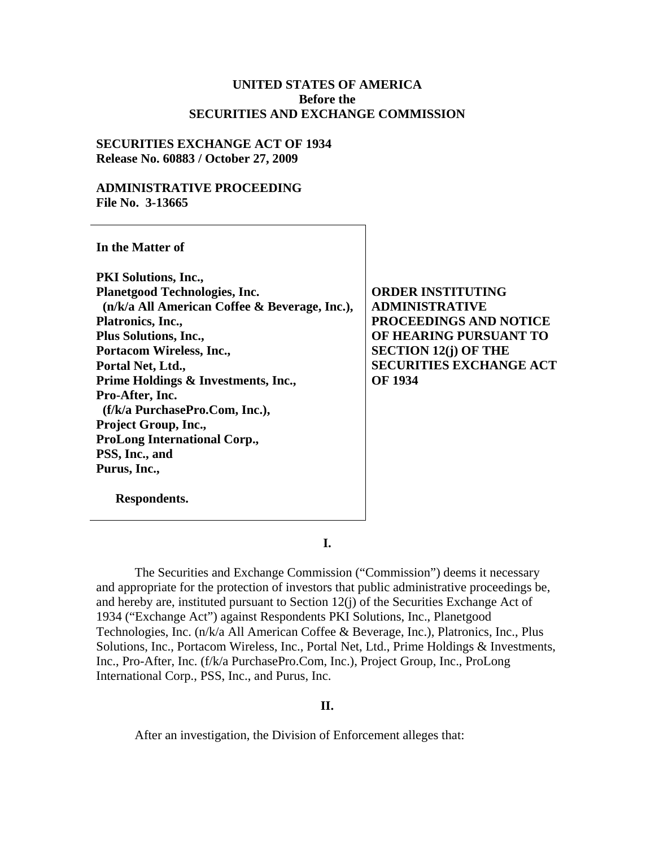#### **UNITED STATES OF AMERICA Before the SECURITIES AND EXCHANGE COMMISSION**

### **SECURITIES EXCHANGE ACT OF 1934 Release No. 60883 / October 27, 2009**

### **ADMINISTRATIVE PROCEEDING File No. 3-13665**

**In the Matter of PKI Solutions, Inc., Planetgood Technologies, Inc. (n/k/a All American Coffee & Beverage, Inc.), Platronics, Inc., Plus Solutions, Inc., Portacom Wireless, Inc., Portal Net, Ltd., Prime Holdings & Investments, Inc., Pro-After, Inc. (f/k/a PurchasePro.Com, Inc.), Project Group, Inc., ProLong International Corp., PSS, Inc., and Purus, Inc., ORDER INSTITUTING ADMINISTRATIVE PROCEEDINGS AND NOTICE OF HEARING PURSUANT TO SECTION 12(j) OF THE SECURITIES EXCHANGE ACT OF 1934** 

**Respondents.** 

**I.** 

The Securities and Exchange Commission ("Commission") deems it necessary and appropriate for the protection of investors that public administrative proceedings be, and hereby are, instituted pursuant to Section 12(j) of the Securities Exchange Act of 1934 ("Exchange Act") against Respondents PKI Solutions, Inc., Planetgood Technologies, Inc. (n/k/a All American Coffee & Beverage, Inc.), Platronics, Inc., Plus Solutions, Inc., Portacom Wireless, Inc., Portal Net, Ltd., Prime Holdings & Investments, Inc., Pro-After, Inc. (f/k/a PurchasePro.Com, Inc.), Project Group, Inc., ProLong International Corp., PSS, Inc., and Purus, Inc.

## **II.**

After an investigation, the Division of Enforcement alleges that: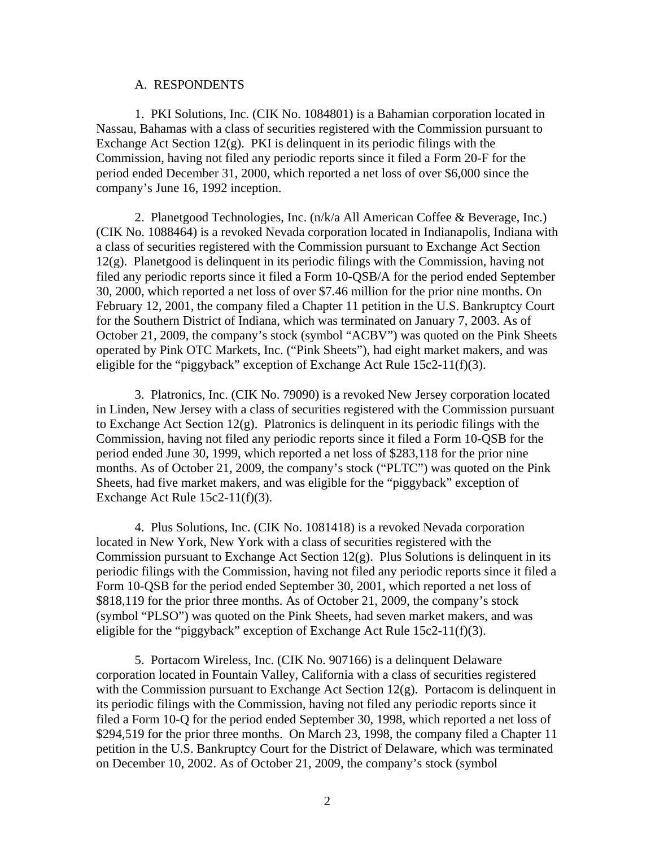#### A. RESPONDENTS

1. PKI Solutions, Inc. (CIK No. 1084801) is a Bahamian corporation located in Nassau, Bahamas with a class of securities registered with the Commission pursuant to Exchange Act Section  $12(g)$ . PKI is delinquent in its periodic filings with the Commission, having not filed any periodic reports since it filed a Form 20-F for the period ended December 31, 2000, which reported a net loss of over \$6,000 since the company's June 16, 1992 inception.

2. Planetgood Technologies, Inc. (n/k/a All American Coffee & Beverage, Inc.) (CIK No. 1088464) is a revoked Nevada corporation located in Indianapolis, Indiana with a class of securities registered with the Commission pursuant to Exchange Act Section  $12(g)$ . Planetgood is delinquent in its periodic filings with the Commission, having not filed any periodic reports since it filed a Form 10-QSB/A for the period ended September 30, 2000, which reported a net loss of over \$7.46 million for the prior nine months. On February 12, 2001, the company filed a Chapter 11 petition in the U.S. Bankruptcy Court for the Southern District of Indiana, which was terminated on January 7, 2003. As of October 21, 2009, the company's stock (symbol "ACBV") was quoted on the Pink Sheets operated by Pink OTC Markets, Inc. ("Pink Sheets"), had eight market makers, and was eligible for the "piggyback" exception of Exchange Act Rule  $15c2-11(f)(3)$ .

3. Platronics, Inc. (CIK No. 79090) is a revoked New Jersey corporation located in Linden, New Jersey with a class of securities registered with the Commission pursuant to Exchange Act Section 12(g). Platronics is delinquent in its periodic filings with the Commission, having not filed any periodic reports since it filed a Form 10-QSB for the period ended June 30, 1999, which reported a net loss of \$283,118 for the prior nine months. As of October 21, 2009, the company's stock ("PLTC") was quoted on the Pink Sheets, had five market makers, and was eligible for the "piggyback" exception of Exchange Act Rule  $15c2-11(f)(3)$ .

4. Plus Solutions, Inc. (CIK No. 1081418) is a revoked Nevada corporation located in New York, New York with a class of securities registered with the Commission pursuant to Exchange Act Section  $12(g)$ . Plus Solutions is delinquent in its periodic filings with the Commission, having not filed any periodic reports since it filed a Form 10-QSB for the period ended September 30, 2001, which reported a net loss of \$818,119 for the prior three months. As of October 21, 2009, the company's stock (symbol "PLSO") was quoted on the Pink Sheets, had seven market makers, and was eligible for the "piggyback" exception of Exchange Act Rule 15c2-11(f)(3).

5. Portacom Wireless, Inc. (CIK No. 907166) is a delinquent Delaware corporation located in Fountain Valley, California with a class of securities registered with the Commission pursuant to Exchange Act Section 12(g). Portacom is delinquent in its periodic filings with the Commission, having not filed any periodic reports since it filed a Form 10-Q for the period ended September 30, 1998, which reported a net loss of \$294,519 for the prior three months. On March 23, 1998, the company filed a Chapter 11 petition in the U.S. Bankruptcy Court for the District of Delaware, which was terminated on December 10, 2002. As of October 21, 2009, the company's stock (symbol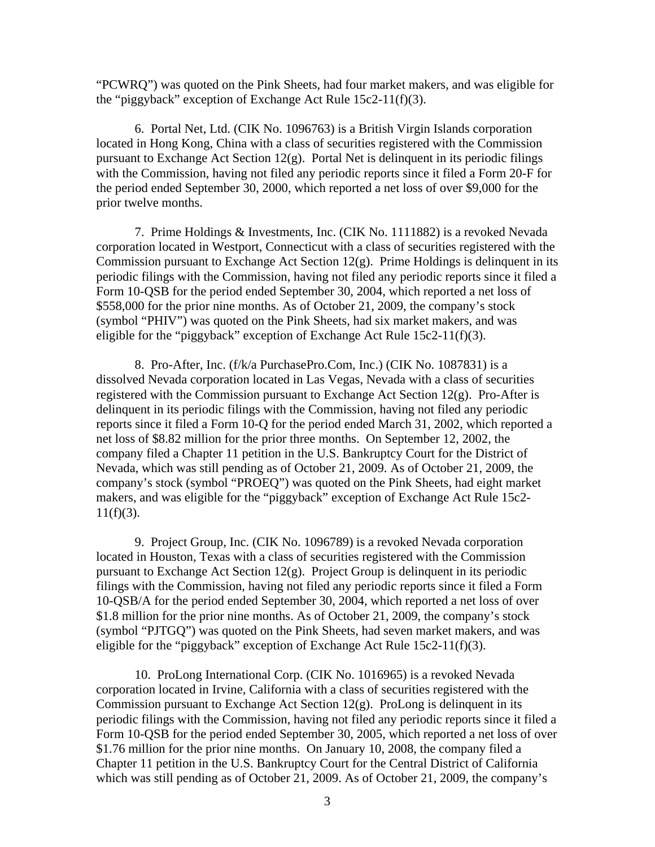"PCWRQ") was quoted on the Pink Sheets, had four market makers, and was eligible for the "piggyback" exception of Exchange Act Rule 15c2-11(f)(3).

6. Portal Net, Ltd. (CIK No. 1096763) is a British Virgin Islands corporation located in Hong Kong, China with a class of securities registered with the Commission pursuant to Exchange Act Section 12(g). Portal Net is delinquent in its periodic filings with the Commission, having not filed any periodic reports since it filed a Form 20-F for the period ended September 30, 2000, which reported a net loss of over \$9,000 for the prior twelve months.

7. Prime Holdings & Investments, Inc. (CIK No. 1111882) is a revoked Nevada corporation located in Westport, Connecticut with a class of securities registered with the Commission pursuant to Exchange Act Section  $12(g)$ . Prime Holdings is delinquent in its periodic filings with the Commission, having not filed any periodic reports since it filed a Form 10-QSB for the period ended September 30, 2004, which reported a net loss of \$558,000 for the prior nine months. As of October 21, 2009, the company's stock (symbol "PHIV") was quoted on the Pink Sheets, had six market makers, and was eligible for the "piggyback" exception of Exchange Act Rule  $15c2-11(f)(3)$ .

8. Pro-After, Inc. (f/k/a PurchasePro.Com, Inc.) (CIK No. 1087831) is a dissolved Nevada corporation located in Las Vegas, Nevada with a class of securities registered with the Commission pursuant to Exchange Act Section 12(g). Pro-After is delinquent in its periodic filings with the Commission, having not filed any periodic reports since it filed a Form 10-Q for the period ended March 31, 2002, which reported a net loss of \$8.82 million for the prior three months. On September 12, 2002, the company filed a Chapter 11 petition in the U.S. Bankruptcy Court for the District of Nevada, which was still pending as of October 21, 2009. As of October 21, 2009, the company's stock (symbol "PROEQ") was quoted on the Pink Sheets, had eight market makers, and was eligible for the "piggyback" exception of Exchange Act Rule 15c2-  $11(f)(3)$ .

9. Project Group, Inc. (CIK No. 1096789) is a revoked Nevada corporation located in Houston, Texas with a class of securities registered with the Commission pursuant to Exchange Act Section 12(g). Project Group is delinquent in its periodic filings with the Commission, having not filed any periodic reports since it filed a Form 10-QSB/A for the period ended September 30, 2004, which reported a net loss of over \$1.8 million for the prior nine months. As of October 21, 2009, the company's stock (symbol "PJTGQ") was quoted on the Pink Sheets, had seven market makers, and was eligible for the "piggyback" exception of Exchange Act Rule  $15c2-11(f)(3)$ .

10. ProLong International Corp. (CIK No. 1016965) is a revoked Nevada corporation located in Irvine, California with a class of securities registered with the Commission pursuant to Exchange Act Section 12(g). ProLong is delinquent in its periodic filings with the Commission, having not filed any periodic reports since it filed a Form 10-QSB for the period ended September 30, 2005, which reported a net loss of over \$1.76 million for the prior nine months. On January 10, 2008, the company filed a Chapter 11 petition in the U.S. Bankruptcy Court for the Central District of California which was still pending as of October 21, 2009. As of October 21, 2009, the company's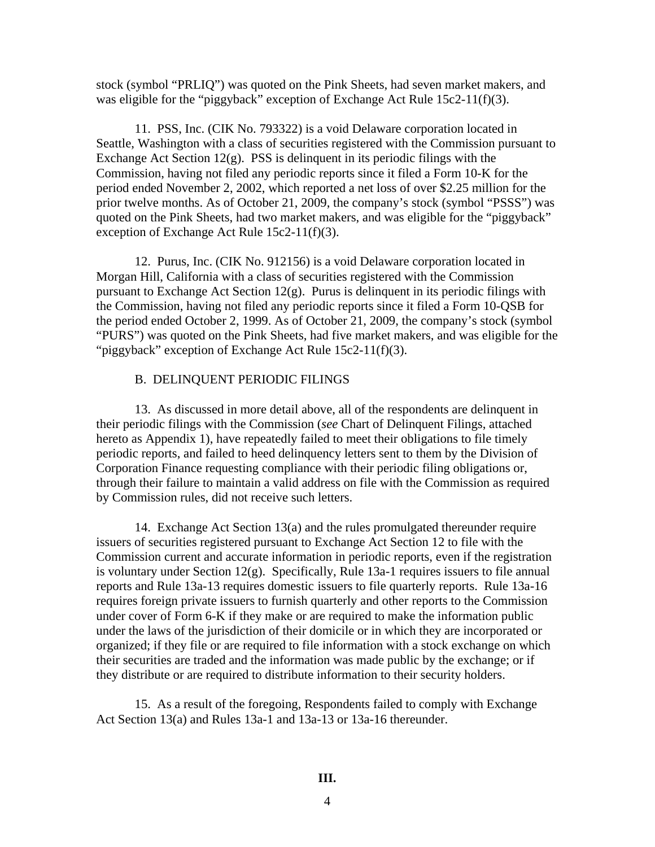stock (symbol "PRLIQ") was quoted on the Pink Sheets, had seven market makers, and was eligible for the "piggyback" exception of Exchange Act Rule 15c2-11(f)(3).

11. PSS, Inc. (CIK No. 793322) is a void Delaware corporation located in Seattle, Washington with a class of securities registered with the Commission pursuant to Exchange Act Section 12(g). PSS is delinquent in its periodic filings with the Commission, having not filed any periodic reports since it filed a Form 10-K for the period ended November 2, 2002, which reported a net loss of over \$2.25 million for the prior twelve months. As of October 21, 2009, the company's stock (symbol "PSSS") was quoted on the Pink Sheets, had two market makers, and was eligible for the "piggyback" exception of Exchange Act Rule 15c2-11(f)(3).

12. Purus, Inc. (CIK No. 912156) is a void Delaware corporation located in Morgan Hill, California with a class of securities registered with the Commission pursuant to Exchange Act Section 12(g). Purus is delinquent in its periodic filings with the Commission, having not filed any periodic reports since it filed a Form 10-QSB for the period ended October 2, 1999. As of October 21, 2009, the company's stock (symbol "PURS") was quoted on the Pink Sheets, had five market makers, and was eligible for the "piggyback" exception of Exchange Act Rule 15c2-11(f)(3).

#### B. DELINQUENT PERIODIC FILINGS

13. As discussed in more detail above, all of the respondents are delinquent in their periodic filings with the Commission (*see* Chart of Delinquent Filings, attached hereto as Appendix 1), have repeatedly failed to meet their obligations to file timely periodic reports, and failed to heed delinquency letters sent to them by the Division of Corporation Finance requesting compliance with their periodic filing obligations or, through their failure to maintain a valid address on file with the Commission as required by Commission rules, did not receive such letters.

14. Exchange Act Section 13(a) and the rules promulgated thereunder require issuers of securities registered pursuant to Exchange Act Section 12 to file with the Commission current and accurate information in periodic reports, even if the registration is voluntary under Section  $12(g)$ . Specifically, Rule 13a-1 requires issuers to file annual reports and Rule 13a-13 requires domestic issuers to file quarterly reports. Rule 13a-16 requires foreign private issuers to furnish quarterly and other reports to the Commission under cover of Form 6-K if they make or are required to make the information public under the laws of the jurisdiction of their domicile or in which they are incorporated or organized; if they file or are required to file information with a stock exchange on which their securities are traded and the information was made public by the exchange; or if they distribute or are required to distribute information to their security holders.

15. As a result of the foregoing, Respondents failed to comply with Exchange Act Section 13(a) and Rules 13a-1 and 13a-13 or 13a-16 thereunder.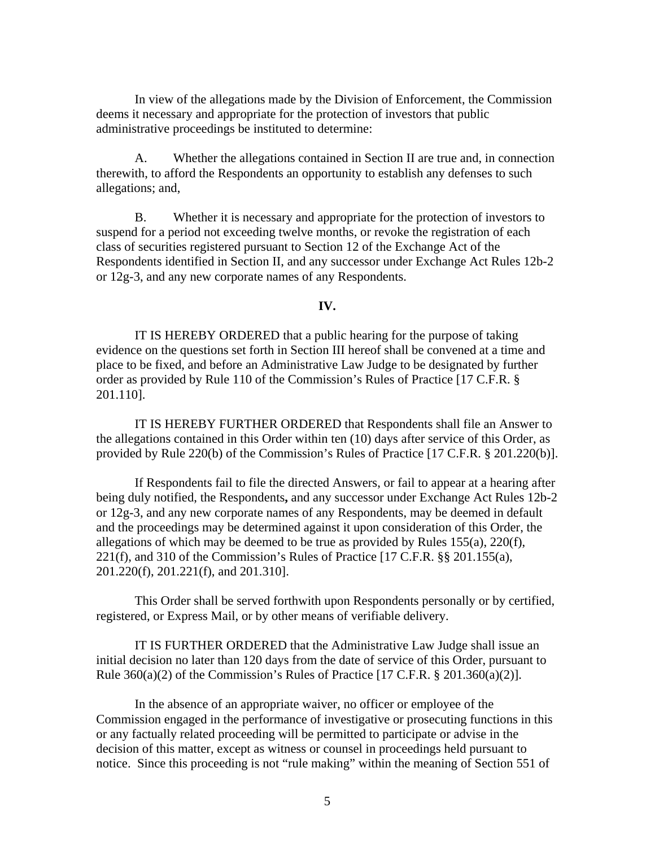In view of the allegations made by the Division of Enforcement, the Commission deems it necessary and appropriate for the protection of investors that public administrative proceedings be instituted to determine:

A. Whether the allegations contained in Section II are true and, in connection therewith, to afford the Respondents an opportunity to establish any defenses to such allegations; and,

B. Whether it is necessary and appropriate for the protection of investors to suspend for a period not exceeding twelve months, or revoke the registration of each class of securities registered pursuant to Section 12 of the Exchange Act of the Respondents identified in Section II, and any successor under Exchange Act Rules 12b-2 or 12g-3, and any new corporate names of any Respondents.

#### **IV.**

IT IS HEREBY ORDERED that a public hearing for the purpose of taking evidence on the questions set forth in Section III hereof shall be convened at a time and place to be fixed, and before an Administrative Law Judge to be designated by further order as provided by Rule 110 of the Commission's Rules of Practice [17 C.F.R. § 201.110].

IT IS HEREBY FURTHER ORDERED that Respondents shall file an Answer to the allegations contained in this Order within ten (10) days after service of this Order, as provided by Rule 220(b) of the Commission's Rules of Practice [17 C.F.R. § 201.220(b)].

If Respondents fail to file the directed Answers, or fail to appear at a hearing after being duly notified, the Respondents**,** and any successor under Exchange Act Rules 12b-2 or 12g-3, and any new corporate names of any Respondents, may be deemed in default and the proceedings may be determined against it upon consideration of this Order, the allegations of which may be deemed to be true as provided by Rules  $155(a)$ ,  $220(f)$ , 221(f), and 310 of the Commission's Rules of Practice  $[17 \text{ C.F.R. }$  §§ 201.155(a), 201.220(f), 201.221(f), and 201.310].

This Order shall be served forthwith upon Respondents personally or by certified, registered, or Express Mail, or by other means of verifiable delivery.

IT IS FURTHER ORDERED that the Administrative Law Judge shall issue an initial decision no later than 120 days from the date of service of this Order, pursuant to Rule  $360(a)(2)$  of the Commission's Rules of Practice [17 C.F.R.  $\S 201.360(a)(2)$ ].

In the absence of an appropriate waiver, no officer or employee of the Commission engaged in the performance of investigative or prosecuting functions in this or any factually related proceeding will be permitted to participate or advise in the decision of this matter, except as witness or counsel in proceedings held pursuant to notice. Since this proceeding is not "rule making" within the meaning of Section 551 of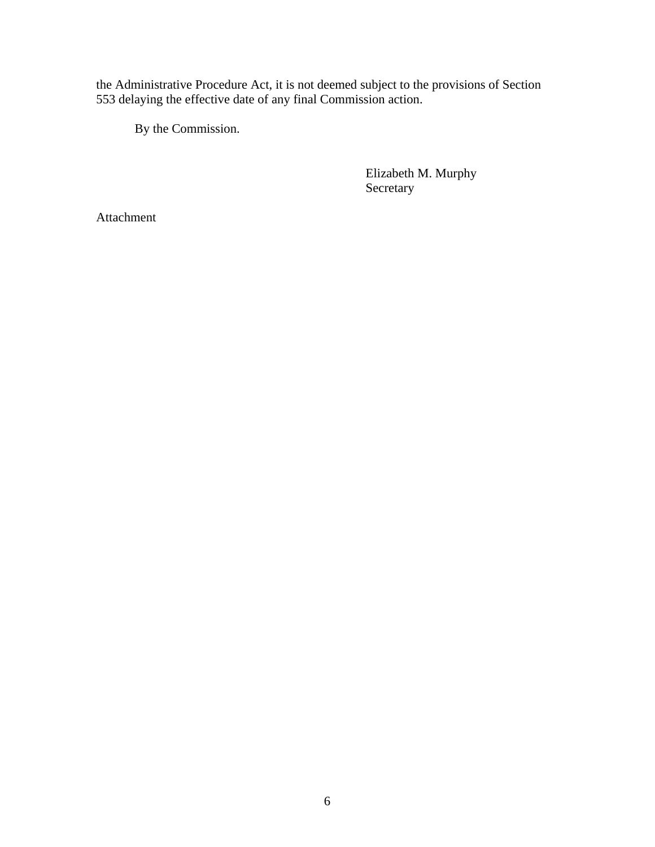the Administrative Procedure Act, it is not deemed subject to the provisions of Section 553 delaying the effective date of any final Commission action.

By the Commission.

 Elizabeth M. Murphy Secretary

Attachment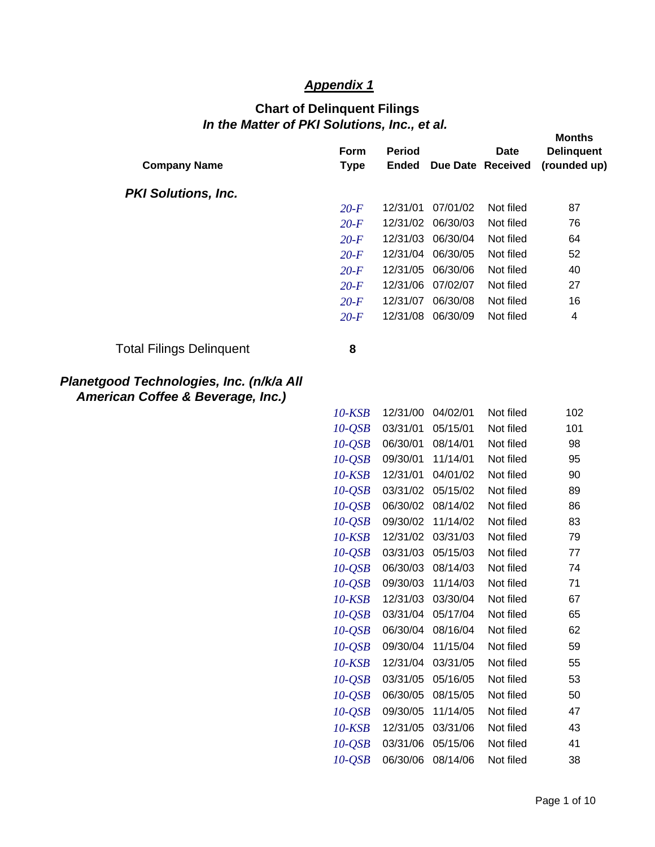## *Appendix 1*

# *In the Matter of PKI Solutions, Inc., et al.*  **Chart of Delinquent Filings**

| <b>Company Name</b>                      | <b>Form</b><br><b>Type</b> | <b>Period</b><br><b>Ended</b> |          | <b>Date</b><br>Due Date Received | <b>Months</b><br><b>Delinquent</b><br>(rounded up) |
|------------------------------------------|----------------------------|-------------------------------|----------|----------------------------------|----------------------------------------------------|
| <b>PKI Solutions, Inc.</b>               |                            |                               |          |                                  |                                                    |
|                                          | $20-F$                     | 12/31/01                      | 07/01/02 | Not filed                        | 87                                                 |
|                                          | $20-F$                     | 12/31/02                      | 06/30/03 | Not filed                        | 76                                                 |
|                                          | $20-F$                     | 12/31/03                      | 06/30/04 | Not filed                        | 64                                                 |
|                                          | $20-F$                     | 12/31/04                      | 06/30/05 | Not filed                        | 52                                                 |
|                                          | $20-F$                     | 12/31/05                      | 06/30/06 | Not filed                        | 40                                                 |
|                                          | $20$ -F                    | 12/31/06                      | 07/02/07 | Not filed                        | 27                                                 |
|                                          | $20-F$                     | 12/31/07                      | 06/30/08 | Not filed                        | 16                                                 |
|                                          | $20-F$                     | 12/31/08                      | 06/30/09 | Not filed                        | 4                                                  |
| <b>Total Filings Delinquent</b>          | 8                          |                               |          |                                  |                                                    |
| Planetgood Technologies, Inc. (n/k/a All |                            |                               |          |                                  |                                                    |

*American Coffee & Beverage, Inc.)* 

| $10$ -KSB    | 12/31/00 | 04/02/01 | Not filed | 102 |
|--------------|----------|----------|-----------|-----|
| $10-QSB$     | 03/31/01 | 05/15/01 | Not filed | 101 |
| $10-QSB$     | 06/30/01 | 08/14/01 | Not filed | 98  |
| $10-QSB$     | 09/30/01 | 11/14/01 | Not filed | 95  |
| $10$ - $KSB$ | 12/31/01 | 04/01/02 | Not filed | 90  |
| $10-QSB$     | 03/31/02 | 05/15/02 | Not filed | 89  |
| $10-QSB$     | 06/30/02 | 08/14/02 | Not filed | 86  |
| $10-QSB$     | 09/30/02 | 11/14/02 | Not filed | 83  |
| 10-KSB       | 12/31/02 | 03/31/03 | Not filed | 79  |
| $10-QSB$     | 03/31/03 | 05/15/03 | Not filed | 77  |
| $10-QSB$     | 06/30/03 | 08/14/03 | Not filed | 74  |
| $10-QSB$     | 09/30/03 | 11/14/03 | Not filed | 71  |
| $10$ - $KSB$ | 12/31/03 | 03/30/04 | Not filed | 67  |
| $10-QSB$     | 03/31/04 | 05/17/04 | Not filed | 65  |
| $10-QSB$     | 06/30/04 | 08/16/04 | Not filed | 62  |
| $10-QSB$     | 09/30/04 | 11/15/04 | Not filed | 59  |
| $10$ - $KSB$ | 12/31/04 | 03/31/05 | Not filed | 55  |
| $10-QSB$     | 03/31/05 | 05/16/05 | Not filed | 53  |
| $10-QSB$     | 06/30/05 | 08/15/05 | Not filed | 50  |
| $10-QSB$     | 09/30/05 | 11/14/05 | Not filed | 47  |
| $10$ - $KSB$ | 12/31/05 | 03/31/06 | Not filed | 43  |
| 10-QSB       | 03/31/06 | 05/15/06 | Not filed | 41  |
| $10-QSB$     | 06/30/06 | 08/14/06 | Not filed | 38  |
|              |          |          |           |     |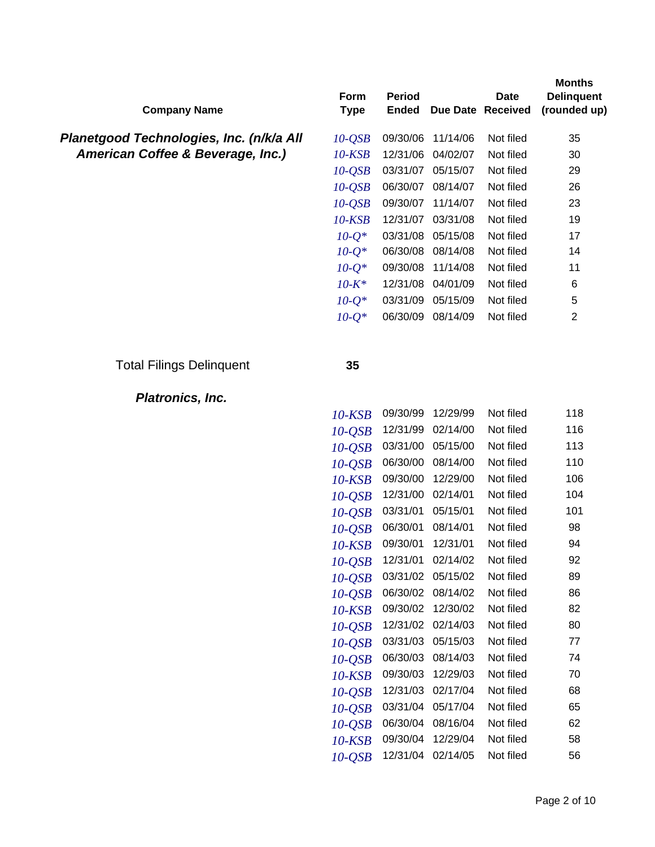| <b>Company Name</b>                      | Form<br><b>Type</b> | <b>Period</b><br><b>Ended</b> |                   | <b>Date</b><br>Due Date Received | <b>Months</b><br><b>Delinquent</b><br>(rounded up) |
|------------------------------------------|---------------------|-------------------------------|-------------------|----------------------------------|----------------------------------------------------|
| Planetgood Technologies, Inc. (n/k/a All | $10-QSB$            | 09/30/06                      | 11/14/06          | Not filed                        | 35                                                 |
| American Coffee & Beverage, Inc.)        | $10$ - $KSB$        | 12/31/06                      | 04/02/07          | Not filed                        | 30                                                 |
|                                          | $10-QSB$            | 03/31/07                      | 05/15/07          | Not filed                        | 29                                                 |
|                                          | $10-QSB$            | 06/30/07                      | 08/14/07          | Not filed                        | 26                                                 |
|                                          | $10-QSB$            | 09/30/07                      | 11/14/07          | Not filed                        | 23                                                 |
|                                          | $10$ - $KSB$        | 12/31/07                      | 03/31/08          | Not filed                        | 19                                                 |
|                                          | $10-Q^*$            | 03/31/08                      | 05/15/08          | Not filed                        | 17                                                 |
|                                          | $10 - Q^*$          | 06/30/08                      | 08/14/08          | Not filed                        | 14                                                 |
|                                          | $10 - Q^*$          | 09/30/08                      | 11/14/08          | Not filed                        | 11                                                 |
|                                          | $10 - K^*$          | 12/31/08                      | 04/01/09          | Not filed                        | 6                                                  |
|                                          | $10 - Q^*$          | 03/31/09                      | 05/15/09          | Not filed                        | 5                                                  |
|                                          | $10 - Q^*$          | 06/30/09                      | 08/14/09          | Not filed                        | $\mathbf{2}$                                       |
| <b>Total Filings Delinquent</b>          | 35                  |                               |                   |                                  |                                                    |
| Platronics, Inc.                         |                     |                               |                   |                                  |                                                    |
|                                          | $10$ - $KSB$        | 09/30/99                      | 12/29/99          | Not filed                        | 118                                                |
|                                          | $10-QSB$            | 12/31/99                      | 02/14/00          | Not filed                        | 116                                                |
|                                          | $10-QSB$            | 03/31/00                      | 05/15/00          | Not filed                        | 113                                                |
|                                          | $10-QSB$            | 06/30/00                      | 08/14/00          | Not filed                        | 110                                                |
|                                          | $10$ - $KSB$        | 09/30/00                      | 12/29/00          | Not filed                        | 106                                                |
|                                          | $10-QSB$            | 12/31/00                      | 02/14/01          | Not filed                        | 104                                                |
|                                          | $10-QSB$            | 03/31/01                      | 05/15/01          | Not filed                        | 101                                                |
|                                          | $10-QSB$            | 06/30/01                      | 08/14/01          | Not filed                        | 98                                                 |
|                                          | $10$ - $KSB$        | 09/30/01                      | 12/31/01          | Not filed                        | 94                                                 |
|                                          | $10-QSB$            |                               | 12/31/01 02/14/02 | Not filed                        | 92                                                 |
|                                          | $10-QSB$            |                               | 03/31/02 05/15/02 | Not filed                        | 89                                                 |
|                                          | $10-QSB$            |                               | 06/30/02 08/14/02 | Not filed                        | 86                                                 |
|                                          | $10$ - $KSB$        |                               | 09/30/02 12/30/02 | Not filed                        | 82                                                 |
|                                          | $10-QSB$            |                               | 12/31/02 02/14/03 | Not filed                        | 80                                                 |
|                                          | $10-QSB$            |                               | 03/31/03 05/15/03 | Not filed                        | 77                                                 |
|                                          | $10-QSB$            |                               | 06/30/03 08/14/03 | Not filed                        | 74                                                 |
|                                          | $10$ - $KSB$        |                               | 09/30/03 12/29/03 | Not filed                        | 70                                                 |
|                                          | $10-QSB$            |                               | 12/31/03 02/17/04 | Not filed                        | 68                                                 |
|                                          | $10-QSB$            |                               | 03/31/04 05/17/04 | Not filed                        | 65                                                 |
|                                          | $10-QSB$            |                               | 06/30/04 08/16/04 | Not filed                        | 62                                                 |
|                                          | $10$ - $KSB$        | 09/30/04                      | 12/29/04          | Not filed                        | 58                                                 |
|                                          | $10-QSB$            |                               | 12/31/04 02/14/05 | Not filed                        | 56                                                 |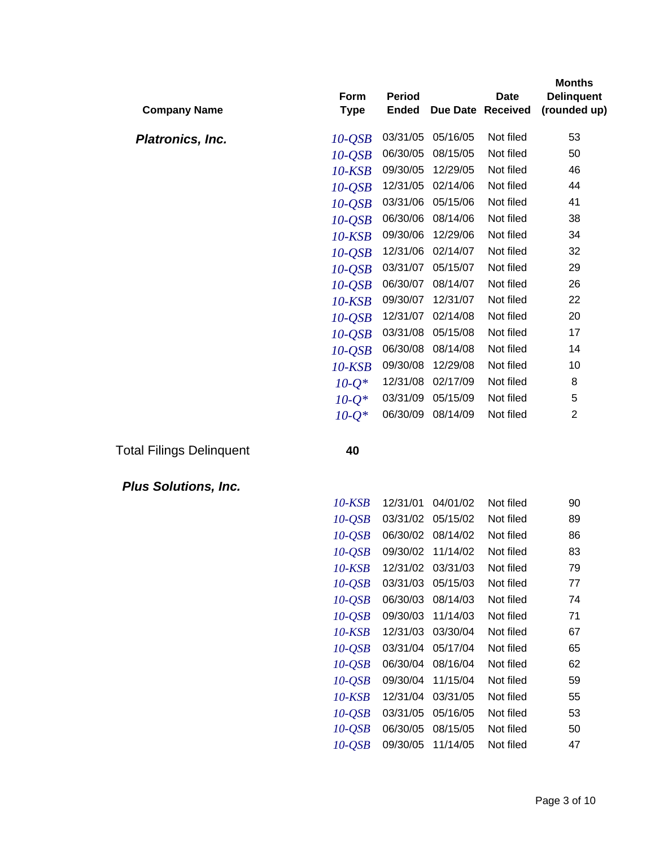| 03/31/05<br>Not filed<br>05/16/05<br>53<br>$10-QSB$<br><b>Platronics, Inc.</b><br>06/30/05<br>08/15/05<br>Not filed<br>50<br>$10-QSB$<br>09/30/05<br>Not filed<br>46<br>12/29/05<br>10-KSB<br>Not filed<br>12/31/05<br>02/14/06<br>44<br>$10-QSB$<br>Not filed<br>03/31/06<br>05/15/06<br>41<br>$10-QSB$<br>06/30/06<br>Not filed<br>08/14/06<br>38<br>$10-QSB$<br>09/30/06<br>12/29/06<br>Not filed<br>34<br>10-KSB<br>Not filed<br>12/31/06<br>02/14/07<br>32<br>$10-QSB$<br>Not filed<br>03/31/07<br>05/15/07<br>29<br>$10-QSB$<br>Not filed<br>06/30/07<br>08/14/07<br>26<br>$10-QSB$<br>09/30/07<br>12/31/07<br>Not filed<br>22<br>10-KSB<br>Not filed<br>12/31/07<br>02/14/08<br>20<br>$10-QSB$<br>03/31/08<br>05/15/08<br>Not filed<br>17<br>$10-QSB$<br>06/30/08<br>08/14/08<br>Not filed<br>14<br>$10-QSB$<br>09/30/08<br>12/29/08<br>Not filed<br>10<br>10-KSB<br>02/17/09<br>Not filed<br>12/31/08<br>8<br>$10 - Q^*$<br>03/31/09<br>05/15/09<br>Not filed<br>5<br>$10 - O^*$<br>06/30/09<br>Not filed<br>$\overline{2}$<br>08/14/09<br>$10 - O^*$ | <b>Company Name</b> | Form<br><b>Type</b> | <b>Period</b><br><b>Ended</b> | Due Date | <b>Date</b><br><b>Received</b> | <b>Months</b><br><b>Delinquent</b><br>(rounded up) |
|---------------------------------------------------------------------------------------------------------------------------------------------------------------------------------------------------------------------------------------------------------------------------------------------------------------------------------------------------------------------------------------------------------------------------------------------------------------------------------------------------------------------------------------------------------------------------------------------------------------------------------------------------------------------------------------------------------------------------------------------------------------------------------------------------------------------------------------------------------------------------------------------------------------------------------------------------------------------------------------------------------------------------------------------------------------|---------------------|---------------------|-------------------------------|----------|--------------------------------|----------------------------------------------------|
|                                                                                                                                                                                                                                                                                                                                                                                                                                                                                                                                                                                                                                                                                                                                                                                                                                                                                                                                                                                                                                                               |                     |                     |                               |          |                                |                                                    |
|                                                                                                                                                                                                                                                                                                                                                                                                                                                                                                                                                                                                                                                                                                                                                                                                                                                                                                                                                                                                                                                               |                     |                     |                               |          |                                |                                                    |
|                                                                                                                                                                                                                                                                                                                                                                                                                                                                                                                                                                                                                                                                                                                                                                                                                                                                                                                                                                                                                                                               |                     |                     |                               |          |                                |                                                    |
|                                                                                                                                                                                                                                                                                                                                                                                                                                                                                                                                                                                                                                                                                                                                                                                                                                                                                                                                                                                                                                                               |                     |                     |                               |          |                                |                                                    |
|                                                                                                                                                                                                                                                                                                                                                                                                                                                                                                                                                                                                                                                                                                                                                                                                                                                                                                                                                                                                                                                               |                     |                     |                               |          |                                |                                                    |
|                                                                                                                                                                                                                                                                                                                                                                                                                                                                                                                                                                                                                                                                                                                                                                                                                                                                                                                                                                                                                                                               |                     |                     |                               |          |                                |                                                    |
|                                                                                                                                                                                                                                                                                                                                                                                                                                                                                                                                                                                                                                                                                                                                                                                                                                                                                                                                                                                                                                                               |                     |                     |                               |          |                                |                                                    |
|                                                                                                                                                                                                                                                                                                                                                                                                                                                                                                                                                                                                                                                                                                                                                                                                                                                                                                                                                                                                                                                               |                     |                     |                               |          |                                |                                                    |
|                                                                                                                                                                                                                                                                                                                                                                                                                                                                                                                                                                                                                                                                                                                                                                                                                                                                                                                                                                                                                                                               |                     |                     |                               |          |                                |                                                    |
|                                                                                                                                                                                                                                                                                                                                                                                                                                                                                                                                                                                                                                                                                                                                                                                                                                                                                                                                                                                                                                                               |                     |                     |                               |          |                                |                                                    |
|                                                                                                                                                                                                                                                                                                                                                                                                                                                                                                                                                                                                                                                                                                                                                                                                                                                                                                                                                                                                                                                               |                     |                     |                               |          |                                |                                                    |
|                                                                                                                                                                                                                                                                                                                                                                                                                                                                                                                                                                                                                                                                                                                                                                                                                                                                                                                                                                                                                                                               |                     |                     |                               |          |                                |                                                    |
|                                                                                                                                                                                                                                                                                                                                                                                                                                                                                                                                                                                                                                                                                                                                                                                                                                                                                                                                                                                                                                                               |                     |                     |                               |          |                                |                                                    |
|                                                                                                                                                                                                                                                                                                                                                                                                                                                                                                                                                                                                                                                                                                                                                                                                                                                                                                                                                                                                                                                               |                     |                     |                               |          |                                |                                                    |
|                                                                                                                                                                                                                                                                                                                                                                                                                                                                                                                                                                                                                                                                                                                                                                                                                                                                                                                                                                                                                                                               |                     |                     |                               |          |                                |                                                    |
|                                                                                                                                                                                                                                                                                                                                                                                                                                                                                                                                                                                                                                                                                                                                                                                                                                                                                                                                                                                                                                                               |                     |                     |                               |          |                                |                                                    |
|                                                                                                                                                                                                                                                                                                                                                                                                                                                                                                                                                                                                                                                                                                                                                                                                                                                                                                                                                                                                                                                               |                     |                     |                               |          |                                |                                                    |
|                                                                                                                                                                                                                                                                                                                                                                                                                                                                                                                                                                                                                                                                                                                                                                                                                                                                                                                                                                                                                                                               |                     |                     |                               |          |                                |                                                    |

Total Filings Delinquent **40** 

*Plus Solutions, Inc.* 

| 10-KSB       | 12/31/01 | 04/01/02 | Not filed | 90 |
|--------------|----------|----------|-----------|----|
| $10-QSB$     | 03/31/02 | 05/15/02 | Not filed | 89 |
| $10-QSB$     | 06/30/02 | 08/14/02 | Not filed | 86 |
| $10-QSB$     | 09/30/02 | 11/14/02 | Not filed | 83 |
| 10-KSB       | 12/31/02 | 03/31/03 | Not filed | 79 |
| $10-QSB$     | 03/31/03 | 05/15/03 | Not filed | 77 |
| $10-QSB$     | 06/30/03 | 08/14/03 | Not filed | 74 |
| $10-QSB$     | 09/30/03 | 11/14/03 | Not filed | 71 |
| 10-KSB       | 12/31/03 | 03/30/04 | Not filed | 67 |
| $10-QSB$     | 03/31/04 | 05/17/04 | Not filed | 65 |
| $10-QSB$     | 06/30/04 | 08/16/04 | Not filed | 62 |
| $10-QSB$     | 09/30/04 | 11/15/04 | Not filed | 59 |
| 10-KSB       | 12/31/04 | 03/31/05 | Not filed | 55 |
| $10$ - $OSB$ | 03/31/05 | 05/16/05 | Not filed | 53 |
| $10-QSB$     | 06/30/05 | 08/15/05 | Not filed | 50 |
| 10-OSB       | 09/30/05 | 11/14/05 | Not filed | 47 |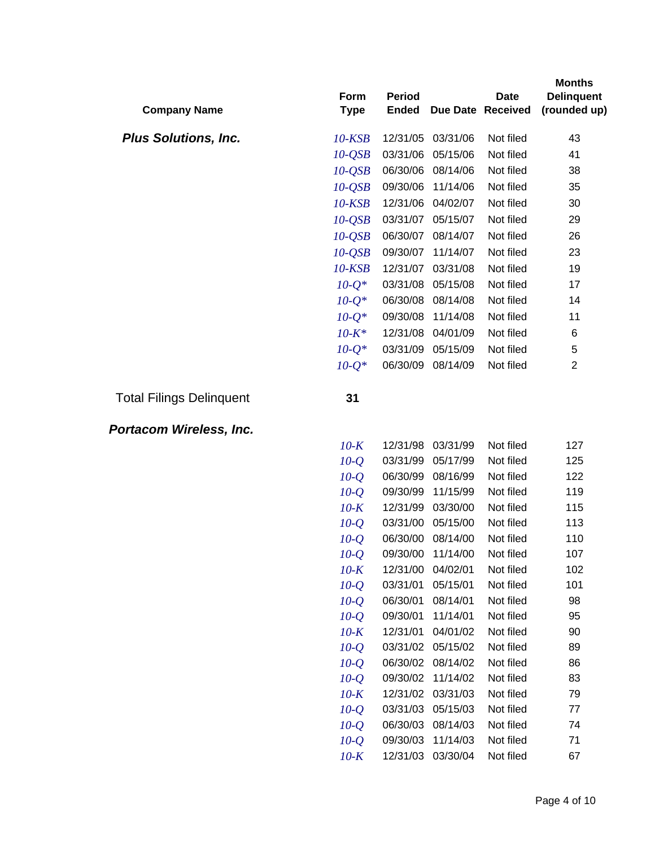| <b>Company Name</b>             | Form<br><b>Type</b> | <b>Period</b><br><b>Ended</b> |                      | <b>Date</b><br>Due Date Received | <b>Months</b><br><b>Delinquent</b><br>(rounded up) |
|---------------------------------|---------------------|-------------------------------|----------------------|----------------------------------|----------------------------------------------------|
| <b>Plus Solutions, Inc.</b>     | $10$ - $KSB$        | 12/31/05                      | 03/31/06             | Not filed                        | 43                                                 |
|                                 | $10-QSB$            | 03/31/06                      | 05/15/06             | Not filed                        | 41                                                 |
|                                 | $10-QSB$            | 06/30/06                      | 08/14/06             | Not filed                        | 38                                                 |
|                                 | $10-QSB$            | 09/30/06                      | 11/14/06             | Not filed                        | 35                                                 |
|                                 | $10$ - $KSB$        | 12/31/06                      | 04/02/07             | Not filed                        | 30                                                 |
|                                 | $10-QSB$            | 03/31/07                      | 05/15/07             | Not filed                        | 29                                                 |
|                                 | $10-QSB$            | 06/30/07                      | 08/14/07             | Not filed                        | 26                                                 |
|                                 | $10-QSB$            | 09/30/07                      | 11/14/07             | Not filed                        | 23                                                 |
|                                 | $10$ - $KSB$        | 12/31/07                      | 03/31/08             | Not filed                        | 19                                                 |
|                                 | $10-Q^*$            | 03/31/08                      | 05/15/08             | Not filed                        | 17                                                 |
|                                 | $10-Q^*$            | 06/30/08                      | 08/14/08             | Not filed                        | 14                                                 |
|                                 | $10-Q^*$            | 09/30/08                      | 11/14/08             | Not filed                        | 11                                                 |
|                                 | $10 - K^*$          | 12/31/08                      | 04/01/09             | Not filed                        | 6                                                  |
|                                 | $10 - Q^*$          | 03/31/09                      | 05/15/09             | Not filed                        | 5                                                  |
|                                 | $10 - Q^*$          | 06/30/09                      | 08/14/09             | Not filed                        | $\overline{2}$                                     |
| <b>Total Filings Delinquent</b> | 31                  |                               |                      |                                  |                                                    |
| Portacom Wireless, Inc.         |                     |                               |                      |                                  |                                                    |
|                                 | $10-K$              | 12/31/98                      | 03/31/99             | Not filed                        | 127                                                |
|                                 | $10-Q$              | 03/31/99                      | 05/17/99             | Not filed                        | 125                                                |
|                                 | $10-Q$              | 06/30/99                      | 08/16/99             | Not filed                        | 122                                                |
|                                 | $10-Q$              | 09/30/99                      | 11/15/99             | Not filed                        | 119                                                |
|                                 | $10-K$              | 12/31/99                      | 03/30/00             | Not filed                        | 115                                                |
|                                 | $10-Q$              | 03/31/00                      | 05/15/00             | Not filed                        | 113                                                |
|                                 | $10-Q$              | 06/30/00                      | 08/14/00             | Not filed                        | 110                                                |
|                                 | $10-Q$              | 09/30/00                      | 11/14/00             | Not filed                        | 107                                                |
|                                 | $10-K$              | 12/31/00                      | 04/02/01             | Not filed                        | 102<br>101                                         |
|                                 | $10-Q$<br>$10-Q$    | 03/31/01<br>06/30/01          | 05/15/01<br>08/14/01 | Not filed<br>Not filed           | 98                                                 |
|                                 | $10-Q$              | 09/30/01                      | 11/14/01             | Not filed                        | 95                                                 |
|                                 | $10-K$              | 12/31/01                      | 04/01/02             | Not filed                        | 90                                                 |
|                                 | $10-Q$              | 03/31/02                      | 05/15/02             | Not filed                        | 89                                                 |
|                                 | $10-Q$              | 06/30/02                      | 08/14/02             | Not filed                        | 86                                                 |
|                                 | $10-Q$              | 09/30/02                      | 11/14/02             | Not filed                        | 83                                                 |
|                                 | $10-K$              | 12/31/02                      | 03/31/03             | Not filed                        | 79                                                 |
|                                 | $10-Q$              | 03/31/03                      | 05/15/03             | Not filed                        | 77                                                 |
|                                 | $10-Q$              | 06/30/03                      | 08/14/03             | Not filed                        | 74                                                 |
|                                 | $10-Q$              | 09/30/03                      | 11/14/03             | Not filed                        | 71                                                 |
|                                 | $10-K$              | 12/31/03                      | 03/30/04             | Not filed                        | 67                                                 |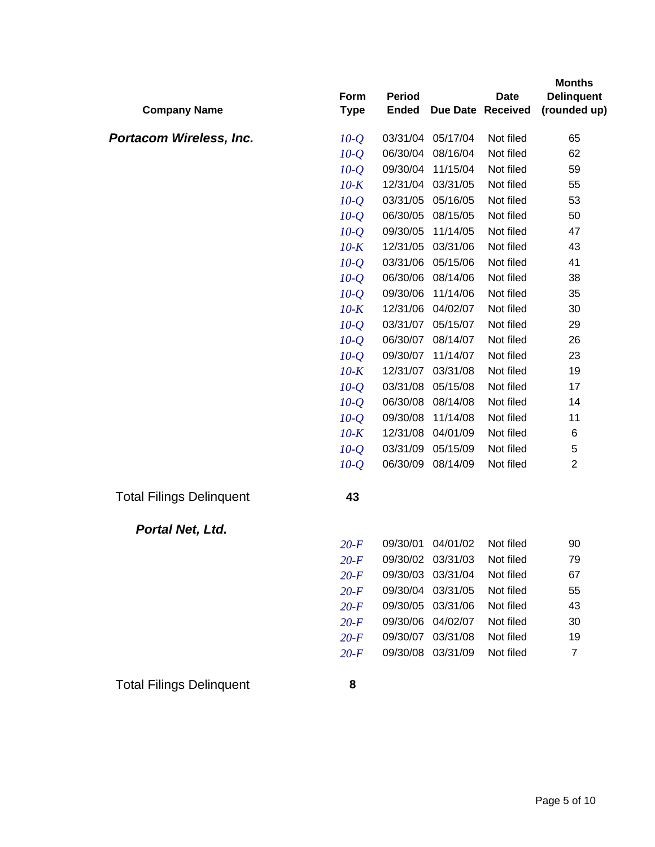| <b>Company Name</b>             | Form<br><b>Type</b> | <b>Period</b><br><b>Ended</b> |                   | <b>Date</b><br>Due Date Received | <b>Months</b><br><b>Delinquent</b><br>(rounded up) |
|---------------------------------|---------------------|-------------------------------|-------------------|----------------------------------|----------------------------------------------------|
| Portacom Wireless, Inc.         | $10-Q$              | 03/31/04                      | 05/17/04          | Not filed                        | 65                                                 |
|                                 | $10-Q$              | 06/30/04                      | 08/16/04          | Not filed                        | 62                                                 |
|                                 | $10-Q$              | 09/30/04                      | 11/15/04          | Not filed                        | 59                                                 |
|                                 | $10-K$              | 12/31/04                      | 03/31/05          | Not filed                        | 55                                                 |
|                                 | $10-Q$              | 03/31/05                      | 05/16/05          | Not filed                        | 53                                                 |
|                                 | $10-Q$              | 06/30/05                      | 08/15/05          | Not filed                        | 50                                                 |
|                                 | $10-Q$              | 09/30/05                      | 11/14/05          | Not filed                        | 47                                                 |
|                                 | $10-K$              | 12/31/05                      | 03/31/06          | Not filed                        | 43                                                 |
|                                 | $10-Q$              | 03/31/06                      | 05/15/06          | Not filed                        | 41                                                 |
|                                 | $10-Q$              | 06/30/06                      | 08/14/06          | Not filed                        | 38                                                 |
|                                 | $10-Q$              | 09/30/06                      | 11/14/06          | Not filed                        | 35                                                 |
|                                 | $10-K$              | 12/31/06                      | 04/02/07          | Not filed                        | 30                                                 |
|                                 | $10-Q$              | 03/31/07                      | 05/15/07          | Not filed                        | 29                                                 |
|                                 | $10-Q$              | 06/30/07                      | 08/14/07          | Not filed                        | 26                                                 |
|                                 | $10-Q$              | 09/30/07                      | 11/14/07          | Not filed                        | 23                                                 |
|                                 | $10-K$              | 12/31/07                      | 03/31/08          | Not filed                        | 19                                                 |
|                                 | $10-Q$              | 03/31/08                      | 05/15/08          | Not filed                        | 17                                                 |
|                                 | $10-Q$              | 06/30/08                      | 08/14/08          | Not filed                        | 14                                                 |
|                                 | $10-Q$              | 09/30/08                      | 11/14/08          | Not filed                        | 11                                                 |
|                                 | $10-K$              | 12/31/08                      | 04/01/09          | Not filed                        | 6                                                  |
|                                 | $10-Q$              | 03/31/09                      | 05/15/09          | Not filed                        | 5                                                  |
|                                 | $10-Q$              | 06/30/09                      | 08/14/09          | Not filed                        | $\overline{2}$                                     |
| <b>Total Filings Delinquent</b> | 43                  |                               |                   |                                  |                                                    |
| Portal Net, Ltd.                |                     |                               |                   |                                  |                                                    |
|                                 | $20-F$              | 09/30/01                      | 04/01/02          | Not filed                        | 90                                                 |
|                                 | $20-F$              |                               | 09/30/02 03/31/03 | Not filed                        | 79                                                 |
|                                 | $20-F$              | 09/30/03                      | 03/31/04          | Not filed                        | 67                                                 |
|                                 | $20-F$              | 09/30/04                      | 03/31/05          | Not filed                        | 55                                                 |
|                                 | $20-F$              | 09/30/05                      | 03/31/06          | Not filed                        | 43                                                 |
|                                 | $20-F$              | 09/30/06                      | 04/02/07          | Not filed                        | 30                                                 |
|                                 | $20-F$              | 09/30/07                      | 03/31/08          | Not filed                        | 19                                                 |
|                                 | $20-F$              | 09/30/08                      | 03/31/09          | Not filed                        | $\overline{7}$                                     |
| <b>Total Filings Delinquent</b> | 8                   |                               |                   |                                  |                                                    |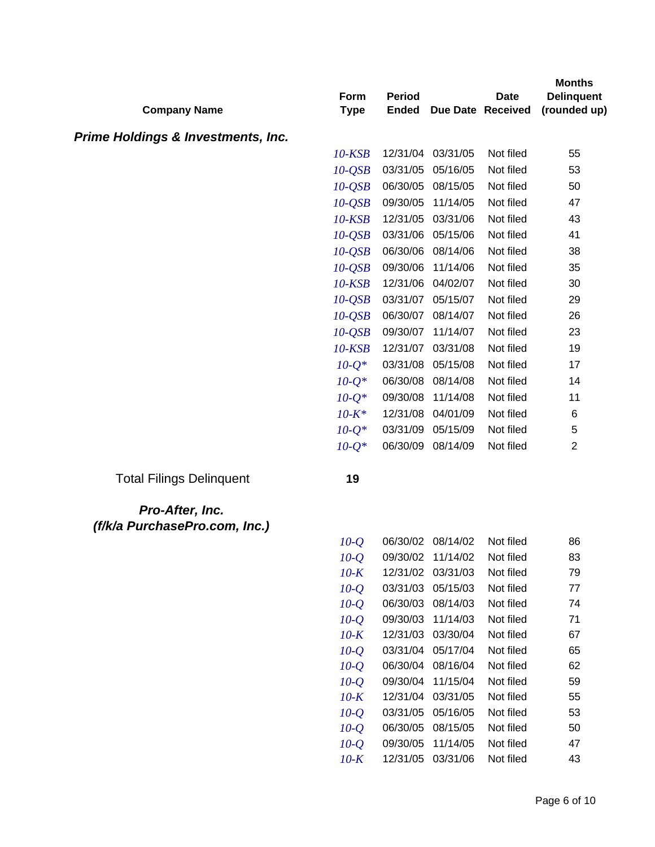| <b>Company Name</b>                              | Form<br><b>Type</b>  | <b>Period</b><br><b>Ended</b> |                      | <b>Date</b><br>Due Date Received | <b>Months</b><br><b>Delinquent</b><br>(rounded up) |
|--------------------------------------------------|----------------------|-------------------------------|----------------------|----------------------------------|----------------------------------------------------|
|                                                  |                      |                               |                      |                                  |                                                    |
| <b>Prime Holdings &amp; Investments, Inc.</b>    | $10$ - $KSB$         | 12/31/04                      | 03/31/05             | Not filed                        | 55                                                 |
|                                                  |                      | 03/31/05                      | 05/16/05             | Not filed                        | 53                                                 |
|                                                  | $10-QSB$<br>$10-QSB$ | 06/30/05                      | 08/15/05             | Not filed                        | 50                                                 |
|                                                  | $10-QSB$             | 09/30/05                      | 11/14/05             | Not filed                        | 47                                                 |
|                                                  | $10$ - $KSB$         | 12/31/05                      | 03/31/06             | Not filed                        | 43                                                 |
|                                                  | $10-QSB$             | 03/31/06                      | 05/15/06             | Not filed                        | 41                                                 |
|                                                  | $10-QSB$             | 06/30/06                      | 08/14/06             | Not filed                        | 38                                                 |
|                                                  | $10-QSB$             | 09/30/06                      | 11/14/06             | Not filed                        | 35                                                 |
|                                                  | $10$ - $KSB$         | 12/31/06                      | 04/02/07             | Not filed                        | 30                                                 |
|                                                  | $10-QSB$             |                               | 03/31/07 05/15/07    | Not filed                        | 29                                                 |
|                                                  | $10-QSB$             | 06/30/07                      | 08/14/07             | Not filed                        | 26                                                 |
|                                                  | $10-QSB$             | 09/30/07                      | 11/14/07             | Not filed                        | 23                                                 |
|                                                  | $10$ - $KSB$         | 12/31/07                      | 03/31/08             | Not filed                        | 19                                                 |
|                                                  | $10 - Q^*$           | 03/31/08                      | 05/15/08             | Not filed                        | 17                                                 |
|                                                  | $10 - Q^*$           | 06/30/08                      | 08/14/08             | Not filed                        | 14                                                 |
|                                                  | $10 - Q^*$           | 09/30/08                      | 11/14/08             | Not filed                        | 11                                                 |
|                                                  | $10 - K^*$           | 12/31/08                      | 04/01/09             | Not filed                        | 6                                                  |
|                                                  | $10 - Q^*$           | 03/31/09                      | 05/15/09             | Not filed                        | 5                                                  |
|                                                  | $10 - Q^*$           | 06/30/09                      | 08/14/09             | Not filed                        | $\overline{2}$                                     |
| <b>Total Filings Delinquent</b>                  | 19                   |                               |                      |                                  |                                                    |
| Pro-After, Inc.<br>(f/k/a PurchasePro.com, Inc.) |                      |                               |                      |                                  |                                                    |
|                                                  | $10-Q$               |                               | 06/30/02 08/14/02    | Not filed                        | 86                                                 |
|                                                  | $10-Q$               |                               | 09/30/02 11/14/02    | Not filed                        | 83                                                 |
|                                                  | $10-K$               |                               | 12/31/02 03/31/03    | Not filed                        | 79                                                 |
|                                                  | $10-Q$               |                               | 03/31/03 05/15/03    | Not filed                        | 77                                                 |
|                                                  | $10-Q$               | 06/30/03                      | 08/14/03             | Not filed                        | 74                                                 |
|                                                  | $10-Q$               | 09/30/03                      | 11/14/03             | Not filed                        | 71                                                 |
|                                                  | $10-K$               | 12/31/03                      | 03/30/04             | Not filed                        | 67                                                 |
|                                                  | $10-Q$               |                               | 03/31/04 05/17/04    | Not filed                        | 65                                                 |
|                                                  | $10-Q$               | 06/30/04                      | 08/16/04             | Not filed                        | 62                                                 |
|                                                  | $10-Q$<br>$10-K$     | 09/30/04<br>12/31/04          | 11/15/04<br>03/31/05 | Not filed<br>Not filed           | 59<br>55                                           |
|                                                  | $10-Q$               | 03/31/05                      | 05/16/05             | Not filed                        | 53                                                 |
|                                                  | $10-Q$               | 06/30/05                      | 08/15/05             | Not filed                        | 50                                                 |
|                                                  | $10-Q$               | 09/30/05                      | 11/14/05             | Not filed                        | 47                                                 |

*10-K* 12/31/05 03/31/06 Not filed 43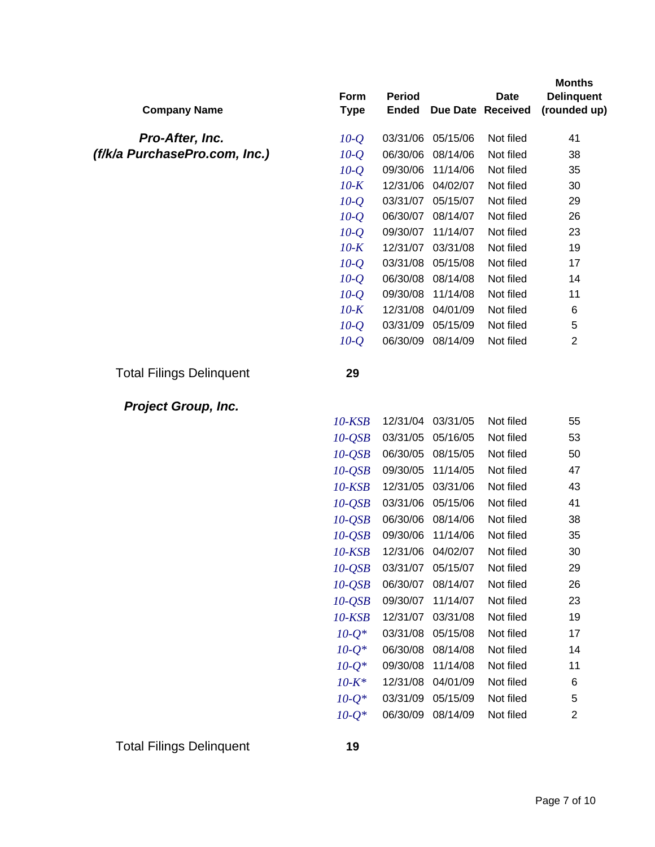|                                 | Form         | <b>Period</b> |                   | <b>Date</b>       | <b>Months</b><br><b>Delinquent</b> |
|---------------------------------|--------------|---------------|-------------------|-------------------|------------------------------------|
| <b>Company Name</b>             | <b>Type</b>  | <b>Ended</b>  |                   | Due Date Received | (rounded up)                       |
| Pro-After, Inc.                 | $10 - Q$     | 03/31/06      | 05/15/06          | Not filed         | 41                                 |
| (f/k/a PurchasePro.com, Inc.)   | $10-Q$       | 06/30/06      | 08/14/06          | Not filed         | 38                                 |
|                                 | $10-Q$       | 09/30/06      | 11/14/06          | Not filed         | 35                                 |
|                                 | $10-K$       | 12/31/06      | 04/02/07          | Not filed         | 30                                 |
|                                 | $10-Q$       | 03/31/07      | 05/15/07          | Not filed         | 29                                 |
|                                 | $10-Q$       | 06/30/07      | 08/14/07          | Not filed         | 26                                 |
|                                 | $10-Q$       | 09/30/07      | 11/14/07          | Not filed         | 23                                 |
|                                 | $10-K$       | 12/31/07      | 03/31/08          | Not filed         | 19                                 |
|                                 | $10-Q$       | 03/31/08      | 05/15/08          | Not filed         | 17                                 |
|                                 | $10-Q$       | 06/30/08      | 08/14/08          | Not filed         | 14                                 |
|                                 | $10-Q$       | 09/30/08      | 11/14/08          | Not filed         | 11                                 |
|                                 | $10-K$       | 12/31/08      | 04/01/09          | Not filed         | 6                                  |
|                                 | $10-Q$       | 03/31/09      | 05/15/09          | Not filed         | $\mathbf 5$                        |
|                                 | $10-Q$       | 06/30/09      | 08/14/09          | Not filed         | $\overline{2}$                     |
| <b>Total Filings Delinquent</b> | 29           |               |                   |                   |                                    |
| <b>Project Group, Inc.</b>      |              |               |                   |                   |                                    |
|                                 | 10-KSB       | 12/31/04      | 03/31/05          | Not filed         | 55                                 |
|                                 | $10-QSB$     | 03/31/05      | 05/16/05          | Not filed         | 53                                 |
|                                 | $10-QSB$     | 06/30/05      | 08/15/05          | Not filed         | 50                                 |
|                                 | $10-QSB$     | 09/30/05      | 11/14/05          | Not filed         | 47                                 |
|                                 | $10$ - $KSB$ | 12/31/05      | 03/31/06          | Not filed         | 43                                 |
|                                 | $10-QSB$     | 03/31/06      | 05/15/06          | Not filed         | 41                                 |
|                                 | $10-QSB$     | 06/30/06      | 08/14/06          | Not filed         | 38                                 |
|                                 | $10-QSB$     | 09/30/06      | 11/14/06          | Not filed         | 35                                 |
|                                 | 10-KSB       | 12/31/06      | 04/02/07          | Not filed         | 30                                 |
|                                 | $10-QSB$     |               | 03/31/07 05/15/07 | Not filed         | 29                                 |
|                                 | $10-QSB$     | 06/30/07      | 08/14/07          | Not filed         | 26                                 |
|                                 | $10-QSB$     | 09/30/07      | 11/14/07          | Not filed         | 23                                 |
|                                 | $10$ - $KSB$ | 12/31/07      | 03/31/08          | Not filed         | 19                                 |
|                                 | $10-Q^*$     | 03/31/08      | 05/15/08          | Not filed         | 17                                 |
|                                 | $10-Q^*$     | 06/30/08      | 08/14/08          | Not filed         | 14                                 |
|                                 | $10 - Q^*$   | 09/30/08      | 11/14/08          | Not filed         | 11                                 |
|                                 | $10 - K^*$   | 12/31/08      | 04/01/09          | Not filed         | 6                                  |
|                                 | $10 - Q^*$   | 03/31/09      | 05/15/09          | Not filed         | 5                                  |
|                                 | $10 - Q^*$   | 06/30/09      | 08/14/09          | Not filed         | $\boldsymbol{2}$                   |
|                                 |              |               |                   |                   |                                    |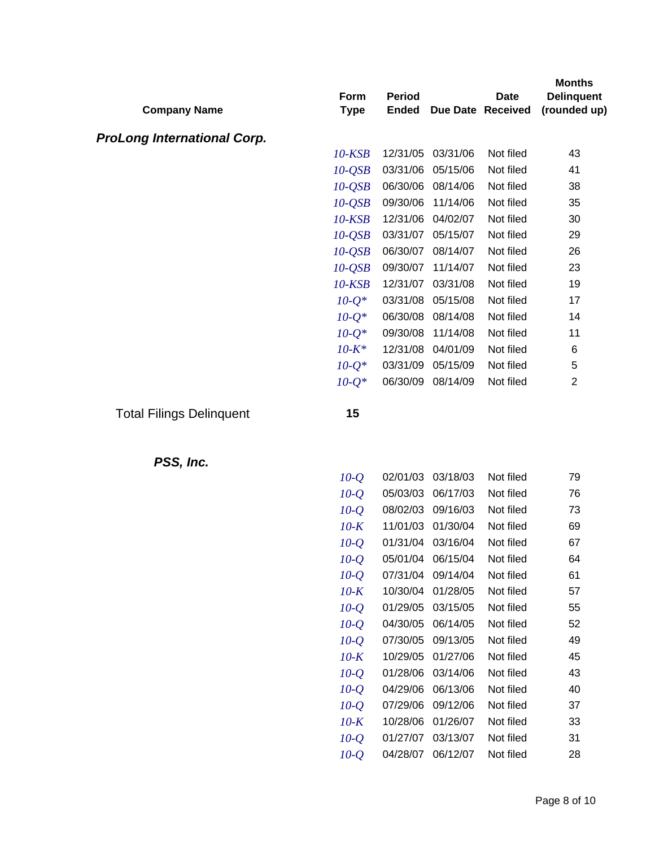| <b>Company Name</b>                | Form<br><b>Type</b> | <b>Period</b><br><b>Ended</b> |                   | <b>Date</b><br>Due Date Received | <b>Months</b><br><b>Delinquent</b><br>(rounded up) |
|------------------------------------|---------------------|-------------------------------|-------------------|----------------------------------|----------------------------------------------------|
| <b>ProLong International Corp.</b> |                     |                               |                   |                                  |                                                    |
|                                    | $10$ - $KSB$        | 12/31/05                      | 03/31/06          | Not filed                        | 43                                                 |
|                                    | $10-QSB$            | 03/31/06                      | 05/15/06          | Not filed                        | 41                                                 |
|                                    | $10-QSB$            | 06/30/06                      | 08/14/06          | Not filed                        | 38                                                 |
|                                    | $10-QSB$            | 09/30/06                      | 11/14/06          | Not filed                        | 35                                                 |
|                                    | $10$ - $KSB$        | 12/31/06                      | 04/02/07          | Not filed                        | 30                                                 |
|                                    | $10-QSB$            | 03/31/07                      | 05/15/07          | Not filed                        | 29                                                 |
|                                    | $10-QSB$            | 06/30/07                      | 08/14/07          | Not filed                        | 26                                                 |
|                                    | $10-QSB$            | 09/30/07                      | 11/14/07          | Not filed                        | 23                                                 |
|                                    | $10$ - $KSB$        | 12/31/07                      | 03/31/08          | Not filed                        | 19                                                 |
|                                    | $10 - Q^*$          | 03/31/08                      | 05/15/08          | Not filed                        | 17                                                 |
|                                    | $10 - Q^*$          | 06/30/08                      | 08/14/08          | Not filed                        | 14                                                 |
|                                    | $10-Q^*$            | 09/30/08                      | 11/14/08          | Not filed                        | 11                                                 |
|                                    | $10 - K^*$          | 12/31/08                      | 04/01/09          | Not filed                        | 6                                                  |
|                                    | $10 - Q^*$          | 03/31/09                      | 05/15/09          | Not filed                        | 5                                                  |
|                                    | $10 - Q^*$          | 06/30/09                      | 08/14/09          | Not filed                        | $\overline{2}$                                     |
| <b>Total Filings Delinquent</b>    | 15                  |                               |                   |                                  |                                                    |
| PSS, Inc.                          |                     |                               |                   |                                  |                                                    |
|                                    | $10-Q$              | 02/01/03                      | 03/18/03          | Not filed                        | 79                                                 |
|                                    | $10-Q$              | 05/03/03                      | 06/17/03          | Not filed                        | 76                                                 |
|                                    | $10-Q$              | 08/02/03                      | 09/16/03          | Not filed                        | 73                                                 |
|                                    | $10-K$              | 11/01/03                      | 01/30/04          | Not filed                        | 69                                                 |
|                                    | $10-Q$              | 01/31/04                      | 03/16/04          | Not filed                        | 67                                                 |
|                                    | $10-Q$              |                               | 05/01/04 06/15/04 | Not filed                        | 64                                                 |
|                                    | $10-Q$              |                               | 07/31/04 09/14/04 | Not filed                        | 61                                                 |
|                                    | $10-K$              |                               | 10/30/04 01/28/05 | Not filed                        | 57                                                 |
|                                    | $10-Q$              |                               | 01/29/05 03/15/05 | Not filed                        | 55                                                 |
|                                    | $10-Q$              |                               | 04/30/05 06/14/05 | Not filed                        | 52                                                 |
|                                    | $10-Q$              |                               | 07/30/05 09/13/05 | Not filed                        | 49                                                 |
|                                    | $10-K$              | 10/29/05                      | 01/27/06          | Not filed                        | 45                                                 |
|                                    | $10-Q$              | 01/28/06                      | 03/14/06          | Not filed                        | 43                                                 |
|                                    | $10-Q$              | 04/29/06                      | 06/13/06          | Not filed                        | 40                                                 |
|                                    | $10-Q$              |                               | 07/29/06 09/12/06 | Not filed                        | 37                                                 |
|                                    | $10-K$              | 10/28/06                      | 01/26/07          | Not filed                        | 33                                                 |
|                                    | $10-Q$              |                               | 01/27/07 03/13/07 | Not filed                        | 31                                                 |
|                                    | $10-Q$              | 04/28/07                      | 06/12/07          | Not filed                        | 28                                                 |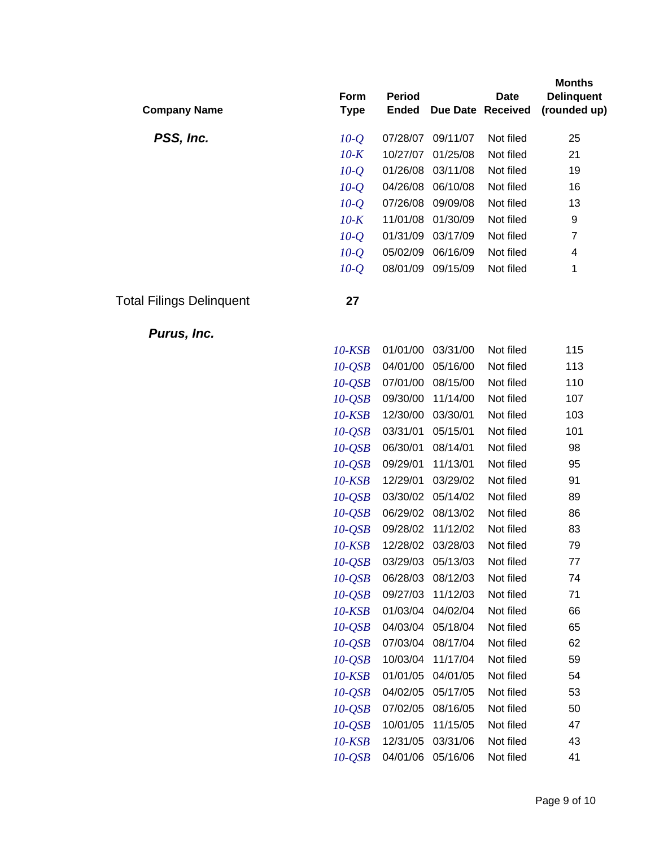| <b>Company Name</b>             | Form<br><b>Type</b> | <b>Period</b><br><b>Ended</b> |          | <b>Date</b><br>Due Date Received | <b>Months</b><br><b>Delinquent</b><br>(rounded up) |
|---------------------------------|---------------------|-------------------------------|----------|----------------------------------|----------------------------------------------------|
| PSS, Inc.                       | $10-Q$              | 07/28/07                      | 09/11/07 | Not filed                        | 25                                                 |
|                                 | $10-K$              | 10/27/07                      | 01/25/08 | Not filed                        | 21                                                 |
|                                 | $10-Q$              | 01/26/08                      | 03/11/08 | Not filed                        | 19                                                 |
|                                 | $10-Q$              | 04/26/08                      | 06/10/08 | Not filed                        | 16                                                 |
|                                 | $10-Q$              | 07/26/08                      | 09/09/08 | Not filed                        | 13                                                 |
|                                 | $10-K$              | 11/01/08                      | 01/30/09 | Not filed                        | 9                                                  |
|                                 | $10-Q$              | 01/31/09                      | 03/17/09 | Not filed                        | $\overline{7}$                                     |
|                                 | $10-Q$              | 05/02/09                      | 06/16/09 | Not filed                        | 4                                                  |
|                                 | $10-Q$              | 08/01/09                      | 09/15/09 | Not filed                        | 1                                                  |
| <b>Total Filings Delinquent</b> | 27                  |                               |          |                                  |                                                    |
| Purus, Inc.                     |                     |                               |          |                                  |                                                    |
|                                 | $10$ - $KSB$        | 01/01/00                      | 03/31/00 | Not filed                        | 115                                                |
|                                 | $10-QSB$            | 04/01/00                      | 05/16/00 | Not filed                        | 113                                                |
|                                 | $10-QSB$            | 07/01/00                      | 08/15/00 | Not filed                        | 110                                                |
|                                 | $10-QSB$            | 09/30/00                      | 11/14/00 | Not filed                        | 107                                                |
|                                 | $10$ - $KSB$        | 12/30/00                      | 03/30/01 | Not filed                        | 103                                                |
|                                 | $10-QSB$            | 03/31/01                      | 05/15/01 | Not filed                        | 101                                                |
|                                 | $10-QSB$            | 06/30/01                      | 08/14/01 | Not filed                        | 98                                                 |
|                                 | $10-QSB$            | 09/29/01                      | 11/13/01 | Not filed                        | 95                                                 |
|                                 | $10$ - $KSB$        | 12/29/01                      | 03/29/02 | Not filed                        | 91                                                 |
|                                 | $10-QSB$            | 03/30/02                      | 05/14/02 | Not filed                        | 89                                                 |
|                                 | $10-QSB$            | 06/29/02                      | 08/13/02 | Not filed                        | 86                                                 |
|                                 | $10-QSB$            | 09/28/02                      | 11/12/02 | Not filed                        | 83                                                 |
|                                 | $10$ - $KSB$        | 12/28/02                      | 03/28/03 | Not filed                        | 79                                                 |
|                                 | $10-QSB$            | 03/29/03                      | 05/13/03 | Not filed                        | 77                                                 |
|                                 | $10-QSB$            | 06/28/03                      | 08/12/03 | Not filed                        | 74                                                 |
|                                 | $10-QSB$            | 09/27/03                      | 11/12/03 | Not filed                        | 71                                                 |
|                                 | 10-KSB              | 01/03/04                      | 04/02/04 | Not filed                        | 66                                                 |
|                                 | $10-QSB$            | 04/03/04                      | 05/18/04 | Not filed                        | 65                                                 |
|                                 | $10-QSB$            | 07/03/04                      | 08/17/04 | Not filed                        | 62                                                 |
|                                 | $10-QSB$            | 10/03/04                      | 11/17/04 | Not filed                        | 59                                                 |
|                                 | $10$ - $KSB$        | 01/01/05                      | 04/01/05 | Not filed                        | 54                                                 |
|                                 | $10-QSB$            | 04/02/05                      | 05/17/05 | Not filed                        | 53                                                 |
|                                 | $10-QSB$            | 07/02/05                      | 08/16/05 | Not filed                        | 50                                                 |
|                                 | $10-QSB$            | 10/01/05                      | 11/15/05 | Not filed                        | 47                                                 |

*10-KSB* 12/31/05 03/31/06 Not filed 43 *10-QSB* 04/01/06 05/16/06 Not filed 41